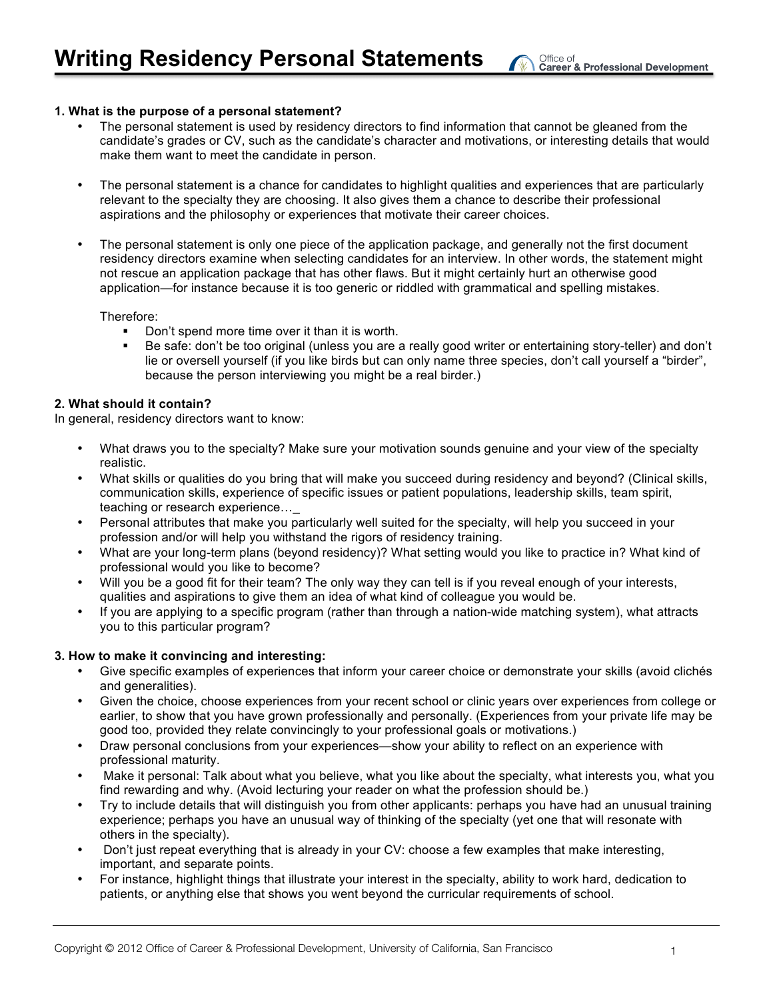## **1. What is the purpose of a personal statement?**

- The personal statement is used by residency directors to find information that cannot be gleaned from the candidate's grades or CV, such as the candidate's character and motivations, or interesting details that would make them want to meet the candidate in person.
- The personal statement is a chance for candidates to highlight qualities and experiences that are particularly relevant to the specialty they are choosing. It also gives them a chance to describe their professional aspirations and the philosophy or experiences that motivate their career choices.
- The personal statement is only one piece of the application package, and generally not the first document residency directors examine when selecting candidates for an interview. In other words, the statement might not rescue an application package that has other flaws. But it might certainly hurt an otherwise good application—for instance because it is too generic or riddled with grammatical and spelling mistakes.

Therefore:

- Don't spend more time over it than it is worth.
- Be safe: don't be too original (unless you are a really good writer or entertaining story-teller) and don't lie or oversell yourself (if you like birds but can only name three species, don't call yourself a "birder", because the person interviewing you might be a real birder.)

### **2. What should it contain?**

In general, residency directors want to know:

- What draws you to the specialty? Make sure your motivation sounds genuine and your view of the specialty realistic.
- What skills or qualities do you bring that will make you succeed during residency and beyond? (Clinical skills, communication skills, experience of specific issues or patient populations, leadership skills, team spirit, teaching or research experience…\_
- Personal attributes that make you particularly well suited for the specialty, will help you succeed in your profession and/or will help you withstand the rigors of residency training.
- What are your long-term plans (beyond residency)? What setting would you like to practice in? What kind of professional would you like to become?
- Will you be a good fit for their team? The only way they can tell is if you reveal enough of your interests, qualities and aspirations to give them an idea of what kind of colleague you would be.
- If you are applying to a specific program (rather than through a nation-wide matching system), what attracts you to this particular program?

## **3. How to make it convincing and interesting:**

- Give specific examples of experiences that inform your career choice or demonstrate your skills (avoid clichés and generalities).
- Given the choice, choose experiences from your recent school or clinic years over experiences from college or earlier, to show that you have grown professionally and personally. (Experiences from your private life may be good too, provided they relate convincingly to your professional goals or motivations.)
- Draw personal conclusions from your experiences—show your ability to reflect on an experience with professional maturity.
- Make it personal: Talk about what you believe, what you like about the specialty, what interests you, what you find rewarding and why. (Avoid lecturing your reader on what the profession should be.)
- Try to include details that will distinguish you from other applicants: perhaps you have had an unusual training experience; perhaps you have an unusual way of thinking of the specialty (yet one that will resonate with others in the specialty).
- Don't just repeat everything that is already in your CV: choose a few examples that make interesting, important, and separate points.
- For instance, highlight things that illustrate your interest in the specialty, ability to work hard, dedication to patients, or anything else that shows you went beyond the curricular requirements of school.